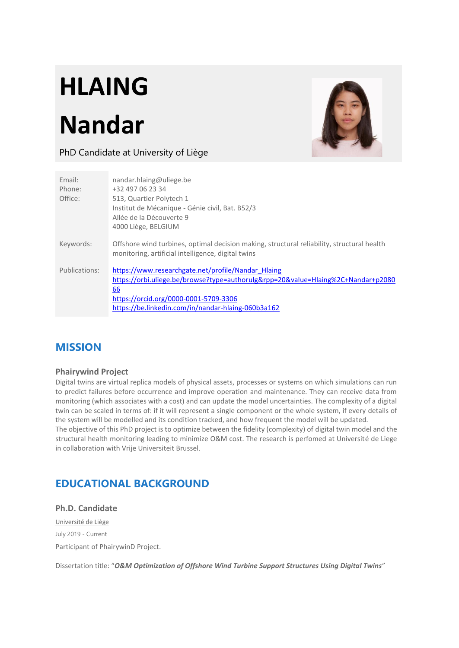# **HLAING**

## **Nandar**



### PhD Candidate at University of Liège

| Email:<br>Phone:<br>Office: | nandar.hlaing@uliege.be<br>+32 497 06 23 34<br>513, Quartier Polytech 1<br>Institut de Mécanique - Génie civil, Bat. B52/3<br>Allée de la Découverte 9<br>4000 Liège, BELGIUM                                                               |
|-----------------------------|---------------------------------------------------------------------------------------------------------------------------------------------------------------------------------------------------------------------------------------------|
| Keywords:                   | Offshore wind turbines, optimal decision making, structural reliability, structural health<br>monitoring, artificial intelligence, digital twins                                                                                            |
| Publications:               | https://www.researchgate.net/profile/Nandar Hlaing<br>https://orbi.uliege.be/browse?type=authorulg&rpp=20&value=Hlaing%2C+Nandar+p2080<br>66<br>https://orcid.org/0000-0001-5709-3306<br>https://be.linkedin.com/in/nandar-hlaing-060b3a162 |

## **MISSION**

#### **Phairywind Project**

Digital twins are virtual replica models of physical assets, processes or systems on which simulations can run to predict failures before occurrence and improve operation and maintenance. They can receive data from monitoring (which associates with a cost) and can update the model uncertainties. The complexity of a digital twin can be scaled in terms of: if it will represent a single component or the whole system, if every details of the system will be modelled and its condition tracked, and how frequent the model will be updated.

The objective of this PhD project is to optimize between the fidelity (complexity) of digital twin model and the structural health monitoring leading to minimize O&M cost. The research is perfomed at Université de Liege in collaboration with Vrije Universiteit Brussel.

## **EDUCATIONAL BACKGROUND**

**Ph.D. Candidate** Université de Liège July 2019 - Current Participant of PhairywinD Project.

Dissertation title: "*O&M Optimization of Offshore Wind Turbine Support Structures Using Digital Twins*"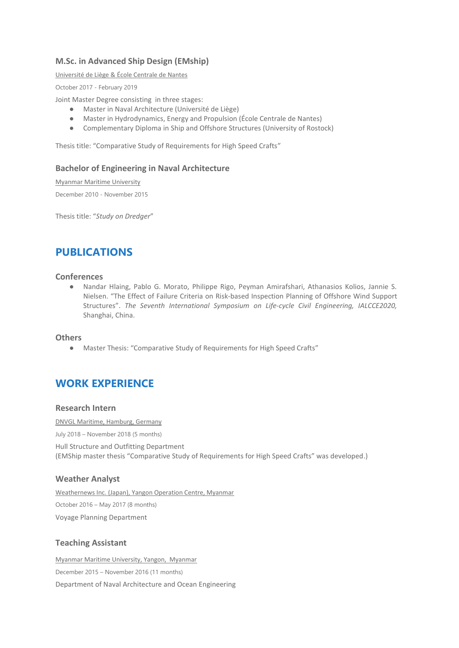#### **M.Sc. in Advanced Ship Design (EMship)**

Université de Liège & École Centrale de Nantes

October 2017 - February 2019

Joint Master Degree consisting in three stages:

- Master in Naval Architecture (Université de Liège)
- Master in Hydrodynamics, Energy and Propulsion (École Centrale de Nantes)
- Complementary Diploma in Ship and Offshore Structures (University of Rostock)

Thesis title: "Comparative Study of Requirements for High Speed Crafts"

#### **Bachelor of Engineering in Naval Architecture**

Myanmar Maritime University

December 2010 - November 2015

Thesis title: "*Study on Dredger*"

## **PUBLICATIONS**

#### **Conferences**

● Nandar Hlaing, Pablo G. Morato, Philippe Rigo, Peyman Amirafshari, Athanasios Kolios, Jannie S. Nielsen. "The Effect of Failure Criteria on Risk-based Inspection Planning of Offshore Wind Support Structures". *The Seventh International Symposium on Life-cycle Civil Engineering, IALCCE2020,*  Shanghai, China.

#### **Others**

● Master Thesis: "Comparative Study of Requirements for High Speed Crafts"

## **WORK EXPERIENCE**

#### **Research Intern**

DNVGL Maritime, Hamburg, Germany

July 2018 – November 2018 (5 months)

Hull Structure and Outfitting Department (EMShip master thesis "Comparative Study of Requirements for High Speed Crafts" was developed.)

#### **Weather Analyst**

Weathernews Inc. (Japan), Yangon Operation Centre, Myanmar October 2016 – May 2017 (8 months) Voyage Planning Department

#### **Teaching Assistant**

Myanmar Maritime University, Yangon, Myanmar December 2015 – November 2016 (11 months) Department of Naval Architecture and Ocean Engineering